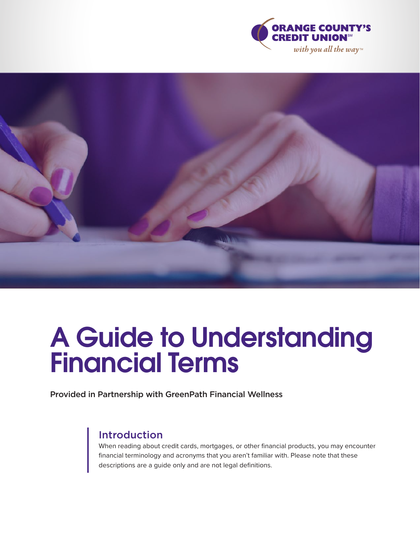



# A Guide to Understanding Financial Terms

Provided in Partnership with GreenPath Financial Wellness

## Introduction

When reading about credit cards, mortgages, or other financial products, you may encounter financial terminology and acronyms that you aren't familiar with. Please note that these descriptions are a guide only and are not legal definitions.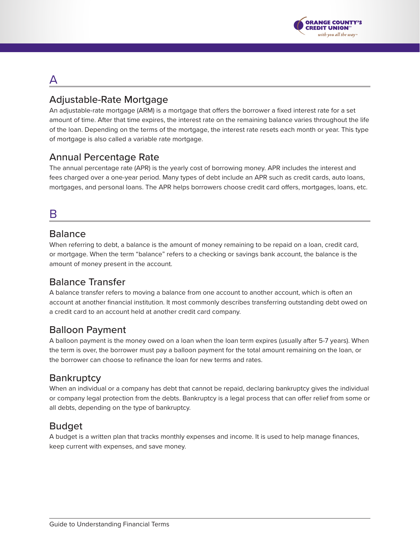

## A

## Adjustable-Rate Mortgage

An adjustable-rate mortgage (ARM) is a mortgage that offers the borrower a fixed interest rate for a set amount of time. After that time expires, the interest rate on the remaining balance varies throughout the life of the loan. Depending on the terms of the mortgage, the interest rate resets each month or year. This type of mortgage is also called a variable rate mortgage.

## Annual Percentage Rate

The annual percentage rate (APR) is the yearly cost of borrowing money. APR includes the interest and fees charged over a one-year period. Many types of debt include an APR such as credit cards, auto loans, mortgages, and personal loans. The APR helps borrowers choose credit card offers, mortgages, loans, etc.

## B

#### Balance

When referring to debt, a balance is the amount of money remaining to be repaid on a loan, credit card, or mortgage. When the term "balance" refers to a checking or savings bank account, the balance is the amount of money present in the account.

## Balance Transfer

A balance transfer refers to moving a balance from one account to another account, which is often an account at another financial institution. It most commonly describes transferring outstanding debt owed on a credit card to an account held at another credit card company.

## Balloon Payment

A balloon payment is the money owed on a loan when the loan term expires (usually after 5-7 years). When the term is over, the borrower must pay a balloon payment for the total amount remaining on the loan, or the borrower can choose to refinance the loan for new terms and rates.

## **Bankruptcy**

When an individual or a company has debt that cannot be repaid, declaring bankruptcy gives the individual or company legal protection from the debts. Bankruptcy is a legal process that can offer relief from some or all debts, depending on the type of bankruptcy.

#### Budget

A budget is a written plan that tracks monthly expenses and income. It is used to help manage finances, keep current with expenses, and save money.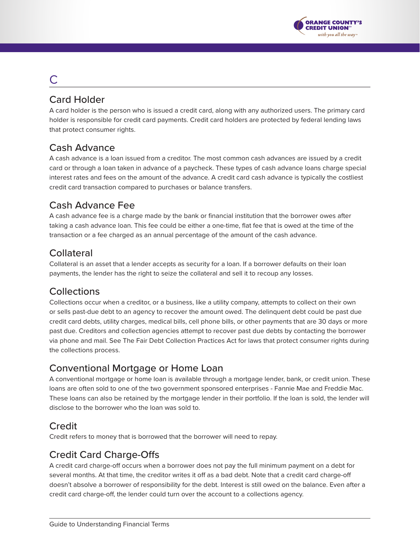

# C

## Card Holder

A card holder is the person who is issued a credit card, along with any authorized users. The primary card holder is responsible for credit card payments. Credit card holders are protected by federal lending laws that protect consumer rights.

## Cash Advance

A cash advance is a loan issued from a creditor. The most common cash advances are issued by a credit card or through a loan taken in advance of a paycheck. These types of cash advance loans charge special interest rates and fees on the amount of the advance. A credit card cash advance is typically the costliest credit card transaction compared to purchases or balance transfers.

## Cash Advance Fee

A cash advance fee is a charge made by the bank or financial institution that the borrower owes after taking a cash advance loan. This fee could be either a one-time, flat fee that is owed at the time of the transaction or a fee charged as an annual percentage of the amount of the cash advance.

## Collateral

Collateral is an asset that a lender accepts as security for a loan. If a borrower defaults on their loan payments, the lender has the right to seize the collateral and sell it to recoup any losses.

## **Collections**

Collections occur when a creditor, or a business, like a utility company, attempts to collect on their own or sells past-due debt to an agency to recover the amount owed. The delinquent debt could be past due credit card debts, utility charges, medical bills, cell phone bills, or other payments that are 30 days or more past due. Creditors and collection agencies attempt to recover past due debts by contacting the borrower via phone and mail. See The Fair Debt Collection Practices Act for laws that protect consumer rights during the collections process.

## Conventional Mortgage or Home Loan

A conventional mortgage or home loan is available through a mortgage lender, bank, or credit union. These loans are often sold to one of the two government sponsored enterprises - Fannie Mae and Freddie Mac. These loans can also be retained by the mortgage lender in their portfolio. If the loan is sold, the lender will disclose to the borrower who the loan was sold to.

## **Credit**

Credit refers to money that is borrowed that the borrower will need to repay.

## Credit Card Charge-Offs

A credit card charge-off occurs when a borrower does not pay the full minimum payment on a debt for several months. At that time, the creditor writes it off as a bad debt. Note that a credit card charge-off doesn't absolve a borrower of responsibility for the debt. Interest is still owed on the balance. Even after a credit card charge-off, the lender could turn over the account to a collections agency.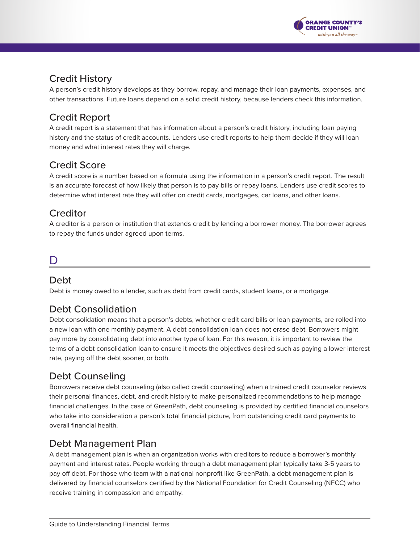

## Credit History

A person's credit history develops as they borrow, repay, and manage their loan payments, expenses, and other transactions. Future loans depend on a solid credit history, because lenders check this information.

## Credit Report

A credit report is a statement that has information about a person's credit history, including loan paying history and the status of credit accounts. Lenders use credit reports to help them decide if they will loan money and what interest rates they will charge.

## Credit Score

A credit score is a number based on a formula using the information in a person's credit report. The result is an accurate forecast of how likely that person is to pay bills or repay loans. Lenders use credit scores to determine what interest rate they will offer on credit cards, mortgages, car loans, and other loans.

## **Creditor**

A creditor is a person or institution that extends credit by lending a borrower money. The borrower agrees to repay the funds under agreed upon terms.

## D

## Debt

Debt is money owed to a lender, such as debt from credit cards, student loans, or a mortgage.

## Debt Consolidation

Debt consolidation means that a person's debts, whether credit card bills or loan payments, are rolled into a new loan with one monthly payment. A debt consolidation loan does not erase debt. Borrowers might pay more by consolidating debt into another type of loan. For this reason, it is important to review the terms of a debt consolidation loan to ensure it meets the objectives desired such as paying a lower interest rate, paying off the debt sooner, or both.

## Debt Counseling

Borrowers receive debt counseling (also called credit counseling) when a trained credit counselor reviews their personal finances, debt, and credit history to make personalized recommendations to help manage financial challenges. In the case of GreenPath, debt counseling is provided by certified financial counselors who take into consideration a person's total financial picture, from outstanding credit card payments to overall financial health.

## Debt Management Plan

A debt management plan is when an organization works with creditors to reduce a borrower's monthly payment and interest rates. People working through a debt management plan typically take 3-5 years to pay off debt. For those who team with a national nonprofit like GreenPath, a debt management plan is delivered by financial counselors certified by the National Foundation for Credit Counseling (NFCC) who receive training in compassion and empathy.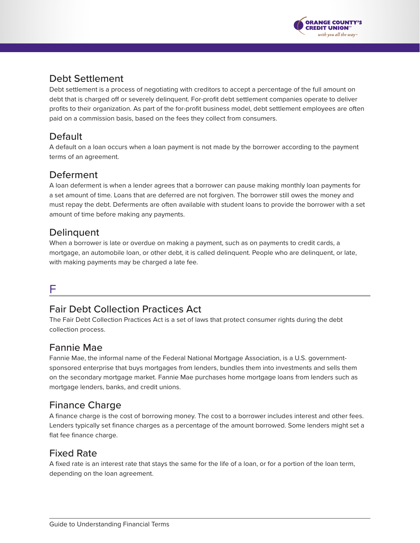

## Debt Settlement

Debt settlement is a process of negotiating with creditors to accept a percentage of the full amount on debt that is charged off or severely delinquent. For-profit debt settlement companies operate to deliver profits to their organization. As part of the for-profit business model, debt settlement employees are often paid on a commission basis, based on the fees they collect from consumers.

## **Default**

A default on a loan occurs when a loan payment is not made by the borrower according to the payment terms of an agreement.

## Deferment

A loan deferment is when a lender agrees that a borrower can pause making monthly loan payments for a set amount of time. Loans that are deferred are not forgiven. The borrower still owes the money and must repay the debt. Deferments are often available with student loans to provide the borrower with a set amount of time before making any payments.

## **Delinquent**

When a borrower is late or overdue on making a payment, such as on payments to credit cards, a mortgage, an automobile loan, or other debt, it is called delinquent. People who are delinquent, or late, with making payments may be charged a late fee.

## F

## Fair Debt Collection Practices Act

The Fair Debt Collection Practices Act is a set of laws that protect consumer rights during the debt collection process.

## Fannie Mae

Fannie Mae, the informal name of the Federal National Mortgage Association, is a U.S. governmentsponsored enterprise that buys mortgages from lenders, bundles them into investments and sells them on the secondary mortgage market. Fannie Mae purchases home mortgage loans from lenders such as mortgage lenders, banks, and credit unions.

## Finance Charge

A finance charge is the cost of borrowing money. The cost to a borrower includes interest and other fees. Lenders typically set finance charges as a percentage of the amount borrowed. Some lenders might set a flat fee finance charge.

#### Fixed Rate

A fixed rate is an interest rate that stays the same for the life of a loan, or for a portion of the loan term, depending on the loan agreement.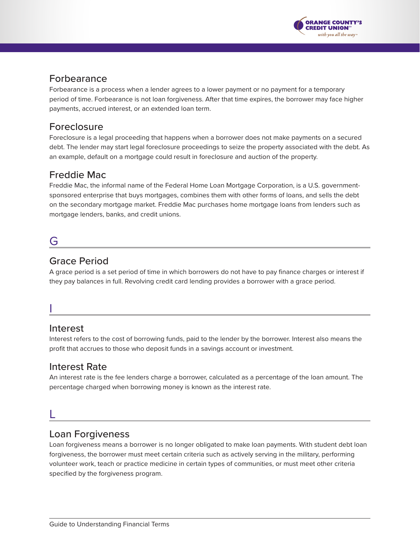

#### Forbearance

Forbearance is a process when a lender agrees to a lower payment or no payment for a temporary period of time. Forbearance is not loan forgiveness. After that time expires, the borrower may face higher payments, accrued interest, or an extended loan term.

#### Foreclosure

Foreclosure is a legal proceeding that happens when a borrower does not make payments on a secured debt. The lender may start legal foreclosure proceedings to seize the property associated with the debt. As an example, default on a mortgage could result in foreclosure and auction of the property.

## Freddie Mac

Freddie Mac, the informal name of the Federal Home Loan Mortgage Corporation, is a U.S. governmentsponsored enterprise that buys mortgages, combines them with other forms of loans, and sells the debt on the secondary mortgage market. Freddie Mac purchases home mortgage loans from lenders such as mortgage lenders, banks, and credit unions.

## G

## Grace Period

A grace period is a set period of time in which borrowers do not have to pay finance charges or interest if they pay balances in full. Revolving credit card lending provides a borrower with a grace period.

## I

#### Interest

Interest refers to the cost of borrowing funds, paid to the lender by the borrower. Interest also means the profit that accrues to those who deposit funds in a savings account or investment.

#### Interest Rate

An interest rate is the fee lenders charge a borrower, calculated as a percentage of the loan amount. The percentage charged when borrowing money is known as the interest rate.

## L

#### Loan Forgiveness

Loan forgiveness means a borrower is no longer obligated to make loan payments. With student debt loan forgiveness, the borrower must meet certain criteria such as actively serving in the military, performing volunteer work, teach or practice medicine in certain types of communities, or must meet other criteria specified by the forgiveness program.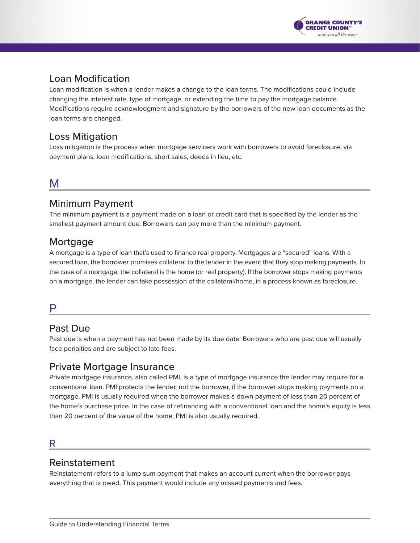

#### Loan Modification

Loan modification is when a lender makes a change to the loan terms. The modifications could include changing the interest rate, type of mortgage, or extending the time to pay the mortgage balance. Modifications require acknowledgment and signature by the borrowers of the new loan documents as the loan terms are changed.

#### Loss Mitigation

Loss mitigation is the process when mortgage servicers work with borrowers to avoid foreclosure, via payment plans, loan modifications, short sales, deeds in lieu, etc.

## M

#### Minimum Payment

The minimum payment is a payment made on a loan or credit card that is specified by the lender as the smallest payment amount due. Borrowers can pay more than the minimum payment.

#### **Mortgage**

A mortgage is a type of loan that's used to finance real property. Mortgages are "secured" loans. With a secured loan, the borrower promises collateral to the lender in the event that they stop making payments. In the case of a mortgage, the collateral is the home (or real property). If the borrower stops making payments on a mortgage, the lender can take possession of the collateral/home, in a process known as foreclosure.

#### P

#### Past Due

Past due is when a payment has not been made by its due date. Borrowers who are past due will usually face penalties and are subject to late fees.

#### Private Mortgage Insurance

Private mortgage insurance, also called PMI, is a type of mortgage insurance the lender may require for a conventional loan. PMI protects the lender, not the borrower, if the borrower stops making payments on a mortgage. PMI is usually required when the borrower makes a down payment of less than 20 percent of the home's purchase price. In the case of refinancing with a conventional loan and the home's equity is less than 20 percent of the value of the home, PMI is also usually required.

#### R

#### Reinstatement

Reinstatement refers to a lump sum payment that makes an account current when the borrower pays everything that is owed. This payment would include any missed payments and fees.